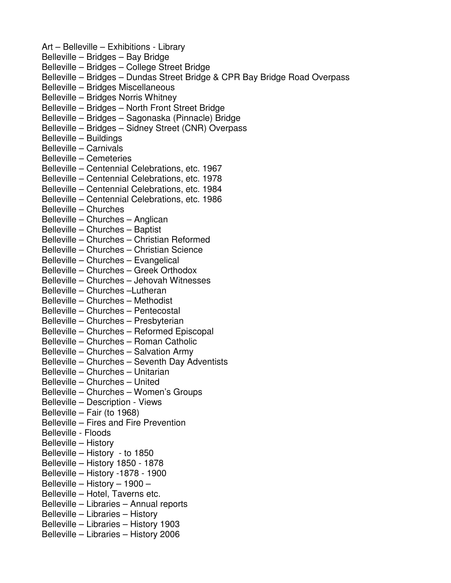Art – Belleville – Exhibitions - Library Belleville – Bridges – Bay Bridge Belleville – Bridges – College Street Bridge Belleville – Bridges – Dundas Street Bridge & CPR Bay Bridge Road Overpass Belleville – Bridges Miscellaneous Belleville – Bridges Norris Whitney Belleville – Bridges – North Front Street Bridge Belleville – Bridges – Sagonaska (Pinnacle) Bridge Belleville – Bridges – Sidney Street (CNR) Overpass Belleville – Buildings Belleville – Carnivals Belleville – Cemeteries Belleville – Centennial Celebrations, etc. 1967 Belleville – Centennial Celebrations, etc. 1978 Belleville – Centennial Celebrations, etc. 1984 Belleville – Centennial Celebrations, etc. 1986 Belleville – Churches Belleville – Churches – Anglican Belleville – Churches – Baptist Belleville – Churches – Christian Reformed Belleville – Churches – Christian Science Belleville – Churches – Evangelical Belleville – Churches – Greek Orthodox Belleville – Churches – Jehovah Witnesses Belleville – Churches –Lutheran Belleville – Churches – Methodist Belleville – Churches – Pentecostal Belleville – Churches – Presbyterian Belleville – Churches – Reformed Episcopal Belleville – Churches – Roman Catholic Belleville – Churches – Salvation Army Belleville – Churches – Seventh Day Adventists Belleville – Churches – Unitarian Belleville – Churches – United Belleville – Churches – Women's Groups Belleville – Description - Views Belleville – Fair (to 1968) Belleville – Fires and Fire Prevention Belleville - Floods Belleville – History Belleville – History - to 1850 Belleville – History 1850 - 1878 Belleville – History -1878 - 1900 Belleville – History – 1900 – Belleville – Hotel, Taverns etc. Belleville – Libraries – Annual reports Belleville – Libraries – History Belleville – Libraries – History 1903 Belleville – Libraries – History 2006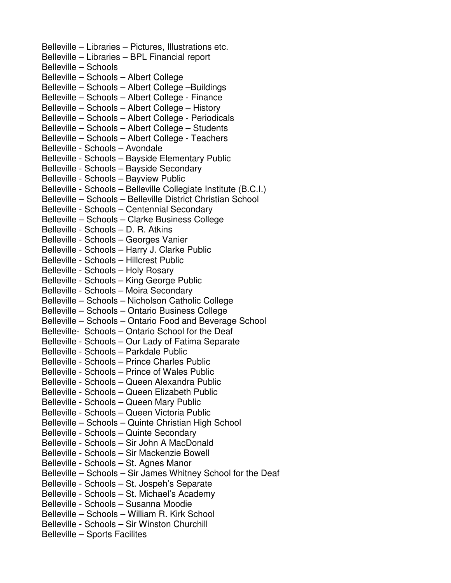Belleville – Libraries – Pictures, Illustrations etc. Belleville – Libraries – BPL Financial report Belleville – Schools Belleville – Schools – Albert College Belleville – Schools – Albert College –Buildings Belleville – Schools – Albert College - Finance Belleville – Schools – Albert College – History Belleville – Schools – Albert College - Periodicals Belleville – Schools – Albert College – Students Belleville – Schools – Albert College - Teachers Belleville - Schools – Avondale Belleville - Schools – Bayside Elementary Public Belleville - Schools – Bayside Secondary Belleville - Schools – Bayview Public Belleville - Schools – Belleville Collegiate Institute (B.C.I.) Belleville – Schools – Belleville District Christian School Belleville - Schools – Centennial Secondary Belleville – Schools – Clarke Business College Belleville - Schools – D. R. Atkins Belleville - Schools – Georges Vanier Belleville - Schools – Harry J. Clarke Public Belleville - Schools – Hillcrest Public Belleville - Schools – Holy Rosary Belleville - Schools – King George Public Belleville - Schools – Moira Secondary Belleville – Schools – Nicholson Catholic College Belleville – Schools – Ontario Business College Belleville – Schools – Ontario Food and Beverage School Belleville- Schools – Ontario School for the Deaf Belleville - Schools – Our Lady of Fatima Separate Belleville - Schools – Parkdale Public Belleville - Schools – Prince Charles Public Belleville - Schools – Prince of Wales Public Belleville - Schools – Queen Alexandra Public Belleville - Schools – Queen Elizabeth Public Belleville - Schools – Queen Mary Public Belleville - Schools – Queen Victoria Public Belleville – Schools – Quinte Christian High School Belleville - Schools – Quinte Secondary Belleville - Schools – Sir John A MacDonald Belleville - Schools – Sir Mackenzie Bowell Belleville - Schools – St. Agnes Manor Belleville – Schools – Sir James Whitney School for the Deaf Belleville - Schools – St. Jospeh's Separate Belleville - Schools – St. Michael's Academy Belleville - Schools – Susanna Moodie Belleville – Schools – William R. Kirk School Belleville - Schools – Sir Winston Churchill Belleville – Sports Facilites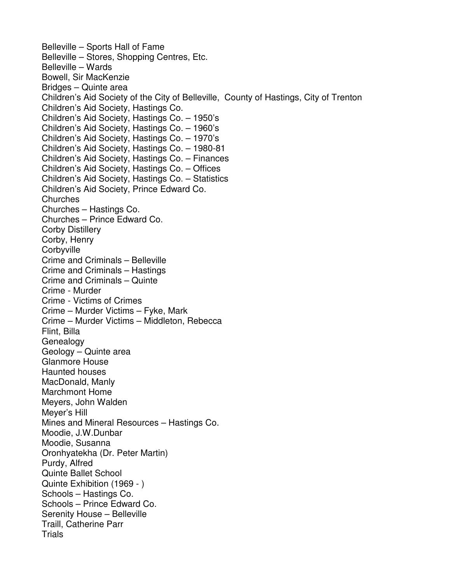Belleville – Sports Hall of Fame Belleville – Stores, Shopping Centres, Etc. Belleville – Wards Bowell, Sir MacKenzie Bridges – Quinte area Children's Aid Society of the City of Belleville, County of Hastings, City of Trenton Children's Aid Society, Hastings Co. Children's Aid Society, Hastings Co. – 1950's Children's Aid Society, Hastings Co. – 1960's Children's Aid Society, Hastings Co. – 1970's Children's Aid Society, Hastings Co. – 1980-81 Children's Aid Society, Hastings Co. – Finances Children's Aid Society, Hastings Co. – Offices Children's Aid Society, Hastings Co. – Statistics Children's Aid Society, Prince Edward Co. **Churches** Churches – Hastings Co. Churches – Prince Edward Co. Corby Distillery Corby, Henry **Corbyville** Crime and Criminals – Belleville Crime and Criminals – Hastings Crime and Criminals – Quinte Crime - Murder Crime - Victims of Crimes Crime – Murder Victims – Fyke, Mark Crime – Murder Victims – Middleton, Rebecca Flint, Billa **Genealogy** Geology – Quinte area Glanmore House Haunted houses MacDonald, Manly Marchmont Home Meyers, John Walden Meyer's Hill Mines and Mineral Resources – Hastings Co. Moodie, J.W.Dunbar Moodie, Susanna Oronhyatekha (Dr. Peter Martin) Purdy, Alfred Quinte Ballet School Quinte Exhibition (1969 - ) Schools – Hastings Co. Schools – Prince Edward Co. Serenity House – Belleville Traill, Catherine Parr **Trials**